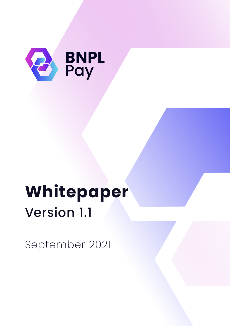

# **Whitepaper** Version 1.1

September 2021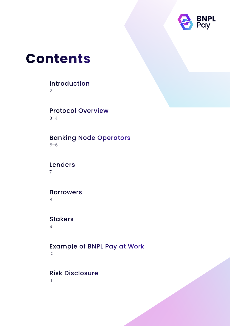

### **Contents**

### Introduction

2

### Protocol Overview

3–4

### 5–6 Banking Node Operators

7 Lenders

### Borrowers

8

### **Stakers**

9

### 10 Example of BNPL Pay at Work

### Risk Disclosure

11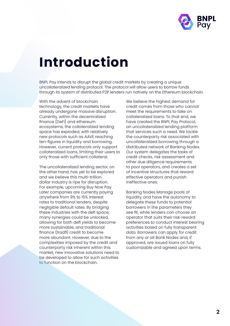

## **Introduction**

BNPL Pay intends to disrupt the global credit markets by creating a unique uncollateralized lending protocol. The protocol will allow users to borrow funds through its system of distributed P2P lenders run natively on the Ethereum blockchain.

With the advent of blockchain technology, the credit markets have already undergone massive disruption. Currently, within the decentralized finance (DeFi) and ethereum ecosystems, the collateralized lending space has exploded, with relatively new protocols such as AAVE reaching ten-figures in liquidity and borrowing. However, current protocols only support collateralized loans, limiting their users to only those with sufficient collateral.

The uncollateralized lending sector, on the other hand, has yet to be explored and we believe this multi-trillion dollar industry is ripe for disruption. For example, upcoming Buy Now Pay Later companies are currently paying anywhere from 9% to 15% interest rates to traditional lenders, despite negligible default rates. By bridging these industries with the defi space, many synergies could be unlocked, allowing for both defi yields to become more sustainable, and traditional finance (tradfi) credit to become more abundant. However, due to the complexities imposed by the credit and counterparty risk inherent within this market, new innovative solutions need to be developed to allow for such activities to function on the blockchain.

We believe the highest demand for credit comes from those who cannot meet the requirements to take on collateralized loans. To that end, we have created the BNPL Pay Protocol, an uncollateralized lending platform that services such a need. We tackle the counterparty risk associated with uncollateralized borrowing through a distributed network of Banking Nodes. Our system delegates the tasks of credit checks, risk assessment and other due diligence requirements to pool operators, and creates a set of incentive structures that reward effective operators and punish ineffective ones.

Banking Nodes Manage pools of liquidity, and have the autonomy to delegate these funds to potential borrowers in the parameters they see fit, while lenders can choose an operator that suits their risk-reward preferences to conduct interest bearing activities based on fully transparent data. Borrowers can apply for credit from any or all Bank Nodes and, if approved, are issued loans on fully customizable and agreed upon terms.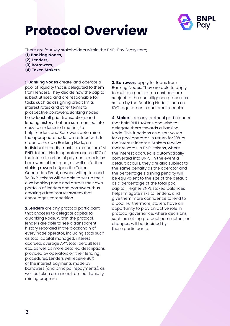# **Protocol Overview**



There are four key stakeholders within the BNPL Pay Ecosystem;

- **(1) Banking Nodes,**
- **(2) Lenders,**
- **(3) Borrowers,**
- **(4) Token Stakers**

**1. Banking Nodes** create, and operate a pool of liquidity that is delegated to them from lenders. They decide how the capital is best utilised and are responsible for tasks such as assigning credit limits, interest rates and other terms to prospective borrowers. Banking nodes broadcast all prior transactions and lending history that are summarised into easy to understand metrics, to help Lenders and Borrowers determine the appropriate node to interface with. In order to set up a Banking Node, an individual or entity must stake and lock 1M BNPL tokens. Node operators accrue 10% of the interest portion of payments made by borrowers of their pool, as well as further staking rewards. Upon the Token Generation Event, anyone willing to bond 1M BNPL tokens will be able to set up their own banking node and attract their own portfolio of lenders and borrowers, thus creating a free market system that encourages competition.

**2.Lenders** are any protocol participant that chooses to delegate capital to a Banking Node. Within the protocol, lenders are able to see a transparent history recorded in the blockchain of every node operator, including stats such as total capital managed, interest accrued, average APY, total default loss etc., as well as more detailed descriptions provided by operators on their lending procedures. Lenders will receive 80% of the interest payments made by borrowers (and principal repayments), as well as token emissions from our liquidity mining program.

**3. Borrowers** apply for loans from Banking Nodes. They are able to apply to multiple pools at no cost and are subject to the due diligence processes set up by the Banking Nodes, such as KYC requirements and credit checks.

**4. Stakers** are any protocol participants that hold BNPL tokens and wish to delegate them towards a Banking Node. This functions as a soft vouch for a pool operator, in return for 10% of the interest income. Stakers receive their rewards in BNPL tokens, where the interest accrued is automatically converted into BNPL. In the event a default occurs, they are also subject to the same penalty as the operator and the percentage slashing penalty will be equivalent to the size of the default as a percentage of the total pool capital. Higher BNPL staked balances helps mitigate risks to lenders, and give them more confidence to lend to a pool. Furthermore, stakers have an opportunity to play an active role in protocol governance, where decisions such as setting protocol parameters, or changes, will be decided by these participants.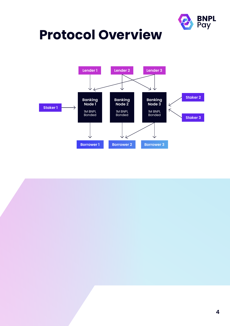

## **Protocol Overview**

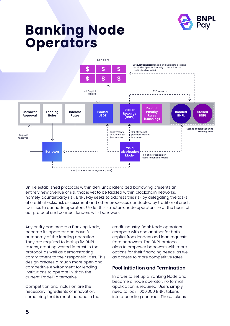

### **Banking Node Operators**



Unlike established protocols within defi, uncollateralized borrowing presents an entirely new avenue of risk that is yet to be tackled within blockchain networks, namely, counterparty risk. BNPL Pay seeks to address this risk by delegating the tasks of credit checks, risk assessment and other processes conducted by traditional credit facilities to our node operators. Under this structure, node operators lie at the heart of our protocol and connect lenders with borrowers.

Any entity can create a Banking Node, become its operator and have full autonomy of the lending operation. They are required to lockup 1M BNPL tokens, creating vested interest in the protocol, as well as demonstrating commitment to their responsibilities. This design creates a much more open and competitive environment for lending institutions to operate in, than the current TradeFi alternative.

Competition and inclusion are the necessary ingredients of innovation, something that is much needed in the credit industry. Bank Node operators compete with one another for both capital from lenders and loan requests from borrowers. The BNPL protocol aims to empower borrowers with more options for their financing needs, as well as access to more competitive rates.

#### **Pool Initiation and Termination**

In order to set up a Banking Node and become a node operator, no formal application is required. Users simply need to lock 1,000,000 BNPL tokens into a bonding contract. These tokens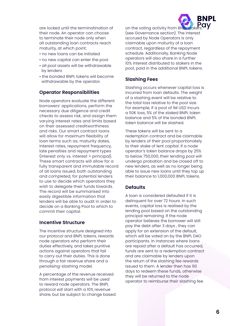are locked until the terminatination of their node. An operator can choose to terminate their node only when all outstanding loan contracts reach maturity, at which point;

- no new loans can be initiated
- no new capital can enter the pool
- all pool assets will be withdrawable by lenders
- the bonded BNPL tokens will become withdrawable by the operator.

#### **Operator Responsibilities**

Node operators evaluate the different borrowers' applications, perform the necessary due diligence and credit checks to assess risk, and assign them varying interest rates and limits based on their assessed creditworthiness and risks. Our smart contract loans will allow for maximum flexibility of loan terms such as; maturity dates, interest rates, repayment frequency, late penalties and repayment types (interest only vs. interest + principal). These smart contracts will allow for a fully transparent and immutable record of all loans issued, both outstanding and completed, for potential lenders to use to decide which operators they wish to delegate their funds towards. The record will be summarised into easily digestible information that lenders will be able to audit in order to decide on a Banking Pool to which to commit their capital.

#### **Incentive Structure**

The incentive structure designed into our protocol and BNPL tokens, rewards node operators who perform their duties effectively, and takes punitive actions against operators that fail to carry out their duties. This is done through a fair revenue share and a penalising-slashing model.

A percentage of the revenue received from interest payments will be used to reward node operators. The BNPL protocol will start with a 10% revenue share, but be subject to change based on the voting activity from BNPL stake (see Governance section). The interest accrued by Node Operators is only claimable upon maturity of a loan contract, regardless of the repayment schedule. Additionally, Banking Node operators will also share in a further 10% interest distributed to stakers in the pool, paid in the additional BNPL tokens.

RNPI

#### **Slashing Fees**

Slashing occurs whenever capital loss is incurred from loan defaults. The weight of a slashing event will be relative to the total loss relative to the pool size. For example, if a pool of 1M USD incurs a 50K loss, 5% of the staked BNPL token balance and 5% of the bonded BNPL token balance will be slashed.

These tokens will be sent to a redemption contract and be claimable by lenders of their pool proportionately to their stake of lent capital. If a node operator's token balance drops by 25% to below 750,000, their lending pool will undergo probation and be closed off to new lenders, as well as no longer being able to issue new loans until they top up their balance to 1,000,000 BNPL tokens.

#### **Defaults**

A loan is considered defaulted if it is delinquent for over 72 hours. In such events, capital loss is realised by the lending pool based on the outstanding principal remaining. If the node operator believes the borrower will still pay the debt after 3 days , they can apply for an extension of the default, which will be voted on by the BNPL DAO participants. In instances where loans are repaid after a default has occurred, funds are sent to a redemption contract and are claimable by lenders upon the return of the slashing fee rewards issued to them. A lender then has 90 days to redeem these funds, otherwise they will be returned to the node operator to reimburse their slashing fee.

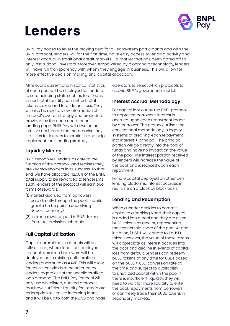# **Lenders**



BNPL Pay hopes to level the playing field for all ecosystem participants and with the BNPL protocol, lenders will for the first time, have easy access to lending activity and interest accrual in traditional credit markets - a market that has been gated off to only institutional investors. Moreover, empowered by blockchain technology, lenders will have full transparency with whom they engage in business. This will allow for more effective decision making and capital allocation.

All relevant current and historical statistics of each pool will be displayed for lenders to see, including stats such as total loans issued, total liquidity committed, total tokens staked and total default loss. They will also be able to view information of the pool's overall strategy and procedure provided by the node operator on its landing page. BNPL Pay will develop an intuitive dashboard that summarises key statistics for lenders to scrutinise and help implement their lending strategy.

### **Liquidity Mining**

BNPL recognizes lenders as core to the function of the protocol, and realises they are key stakeholders in its success. To that end, we have allocated 42.50% of the BNPL total supply to be rewarded to lenders. As such, lenders of the protocol will earn two forms of rewards;

- (1) Interest accrued from borrowers paid directly through the pool's capital growth (to be paid in underlying deposit currency)
- (2) in token rewards paid in BNPL tokens from our emission schedule.

### **Full Capital Utilization**

Capital committed to all pools will be fully utilised, where funds not deployed to uncollateralized borrowers will be deployed on to existing collateralized lending pools such as AAVE. This will allow for consistent yields to be accrued by lenders regardless of the uncollateralized loan demand. The BNPL Pay Protocol will only use whitelisted, audited protocols that have sufficient liquidity for immediate redemption to service incoming loans, and it will be up to both the DAO and node

operators to select which protocols to use via BNPL's governance model.

### **Interest Accrual Methodology**

For capital lent out by the BNPL protocol to approved borrowers, interest is accrued upon each repayment made by a borrower. The protocol utilises the conventional methodology in legacy systems of breaking each repayment into interest + principal. The principal portion will go directly into the pool of funds and have no impact on the value of the pool. The interest portion received by lenders will increase the value of the pool, and is realised upon each repayment.

For idle capital deployed on other defi lending platforms, interest accrues in real time on a block by block basis.

### **Lending and Redemption**

When a lender decides to commit capital to a Banking Node, their capital is added into a pool and they are given bUSD tokens as receipt, representing their ownership share of the pool. At pool initiation, 1 USDT will equate to 1 bUSD token, however, the value of these tokens will appreciate as interest accrues into the pool, and decline in events of capital loss from default. Lenders can redeem bUSD tokens at any time for USDT based on the bUSD<>USD conversion rate at the time, and subject to availability to unutilized capital within the pool. If there is insufficient liquidity, they will need to wait for more liquidity to enter the pool, repayments from borrowers, or can freely trade their bUSD tokens in secondary markets.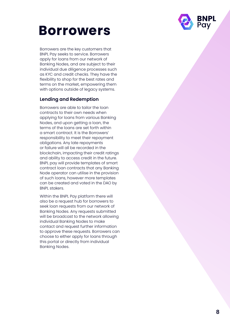

### **Borrowers**

Borrowers are the key customers that BNPL Pay seeks to service. Borrowers apply for loans from our network of Banking Nodes, and are subject to their individual due diligence processes such as KYC and credit checks. They have the flexibility to shop for the best rates and terms on the market, empowering them with options outside of legacy systems.

### **Lending and Redemption**

Borrowers are able to tailor the loan contracts to their own needs when applying for loans from various Banking Nodes, and upon getting a loan, the terms of the loans are set forth within a smart contract. It is the Borrowers' responsibility to meet their repayment obligations. Any late repayments or failure will all be recorded in the blockchain, impacting their credit ratings and ability to access credit in the future. BNPL pay will provide templates of smart contract loan contracts that any Banking Node operator can utilise in the provision of such loans, however more templates can be created and voted in the DAO by BNPL stakers.

Within the BNPL Pay platform there will also be a request hub for borrowers to seek loan requests from our network of Banking Nodes. Any requests submitted will be broadcast to the network allowing individual Banking Nodes to make contact and request further information to approve these requests. Borrowers can choose to either apply for loans through this portal or directly from individual Banking Nodes.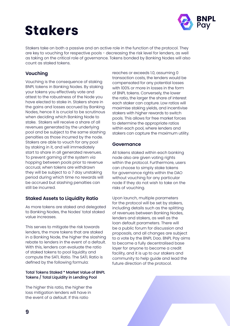# **Stakers**



Stakers take on both a passive and an active role in the function of the protocol. They are key to vouching for respective pools - decreasing the risk level for lenders, as well as taking on the critical role of governance. Tokens bonded by Banking Nodes will also count as staked tokens.

### **Vouching**

Vouching is the consequence of staking BNPL tokens in Banking Nodes. By staking your tokens you effectively vote and attest to the robustness of the Node you have elected to stake in. Stakers share in the gains and losses accrued by Banking Nodes, hence it is crucial to be scrutinous when deciding which Banking Node to stake. Stakers will receive a share of all revenues generated by the underlying pool and be subject to the same slashing penalties as those incurred by the node. Stakers are able to vouch for any pool by staking in it, and will immediately start to share in all generated revenues. To prevent gaming of the system via hopping between pools prior to revenue accrual, when tokens are withdrawn they will be subject to a 7 day unstaking period during which time no rewards will be accrued but slashing penalties can still be incurred.

### **Staked Assets to Liquidity Ratio**

As more tokens are staked and delegated to Banking Nodes, the Nodes' total staked value increases.

This serves to mitigate the risk towards lenders, the more tokens that are staked in a Banking Node, the higher the slashing rebate to lenders in the event of a default. With this, lenders can evaluate the ratio of staked tokens to pool liquidity and compute the SATL Ratio. The SATL Ratio is defined by the following formula:

#### Total Tokens Staked \* Market Value of BNPL Tokens / Total Liquidity in Lending Pool

The higher this ratio, the higher the loss mitigation lenders will have in the event of a default. If this ratio

reaches or exceeds 1.0, assuming 0 transaction costs, the lenders would be compensated for any potential losses with 100% or more in losses in the form of BNPL tokens. Conversely, the lower the ratio, the larger the share of interest each staker can capture. Low ratios will maximise staking yields, and incentivise stakers with higher rewards to switch pools. This allows for free market forces to determine the appropriate ratios within each pool, where lenders and stakers can capture the maximum utility.

#### **Governance**

All tokens staked within each banking node also are given voting rights within the protocol. Furthermore, users can choose to simply stake tokens for governance rights within the DAO without vouching for any particular node if they do not wish to take on the risks of vouching.

Upon launch, multiple parameters for the protocol will be set by stakers, including details such as the splitting of revenues between Banking Nodes, lenders and stakers, as well as the loan default parameters. There will be a public forum for discussion and proposals, and all changes are subject to a vote by the BNPL Dao. BNPL Pay aims to become a fully decentralised base layer for anyone to become a credit facility, and it is up to our stakers and community to help guide and lead the future direction of the protocol.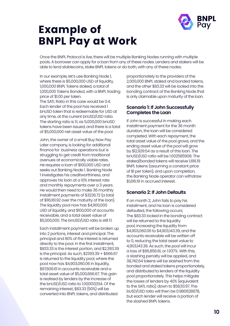

### **Example of BNPL Pay at Work**

Once the BNPL Protocol is live, there will be multiple Banking Nodes running with multiple pools. A borrower can apply for a loan from any of these nodes. Lenders and stakers will be able to lend stablecoins, stake BNPL tokens or do both, with any of these nodes.

In our example, let's use Banking Node 1, where there is \$5,000,000 USD of liquidity, 1,000,000 BNPL Tokens staked, a total of 1,000,000 Tokens Bonded, with a BNPL trading price of \$1.00 per token.

The SATL Ratio in this case would be 0.4. Each lender of the pool has received 1 bnUSD token that is redeemable for USD at any time, at the current bnUSD/USD ratio. The starting ratio is 1:1, as 5,000,000 bnUSD tokens have been issued, and there is a total of \$5,000,000 net asset value of the pool.

John, the owner of a small Buy Now Pay Later company, is looking for additional finance for business operations but is struggling to get credit from traditional avenues at economically viable rates. He requires a loan of \$100,000 USD and seeks out Banking Node 1. Banking Node 1 investigates his creditworthiness, and approves his loan at a 10% interest rate and monthly repayments over a 3 years. He would then need to make 36 monthly installment payments of \$3226.72 (a total of \$116,161.92 over the maturity of the loan). The liquidity pool now has \$4,900,000 USD of liquidity, and \$100,000 of accounts receivable, and a total asset value of \$5,000,000. The bnUSD/USD ratio is still 1:1.

Each installment payment will be broken up into 2 portions, interest and principal. The principal and 80% of the interest is returned directly to the pool. In the first installment, \$833.33 is the interest portion, and \$2,393.39 is the principal. As such, \$2393.39 + \$666.67 is returned to the liquidity pool, where the pool now has \$4,903,060.06 in liquidity, \$97,606.61 in accounts receivable and a total asset value of \$5,000,666.67. This gain is realised by lenders by the increase of the bnUSD/USD ratio to 1.000133334. Of the remaining interest, \$83.33 (50%) will be converted into BNPL tokens, and distributed

proportionately to the providers of the 2,000,000 BNPL staked and bonded tokens, and the other \$83.33 will be locked into the bonding contract of the Banking Node that is only claimable upon maturity of the loan.

#### **Scenario 1: If John Successfully Completes the Loan**

If John is successful in making each installment payment for the 36 month duration, the loan will be considered completed. With each repayment, the total asset value of the pool grows, and the ending asset value of the pool will grow by \$12,929.54 as a result of this loan. The bnUSD/USD ratio will be 1.002585908. The staked/bonded tokens will receive 1,616.19 BNPL tokens (assuming a constant price of \$1 per token), and upon completion, the Banking Node operator can withdraw \$1,616.19 in accrued interest.

### **Scenario 2: If John Defaults**

If on month 2, John fails to pay his installment, and his loan is considered defaulted, the following occurs; The \$83.33 locked in the bonding contract will be returned to the liquidity pool, increasing the liquidity from \$4,903,060.06 to \$4,903,143.39, and the accounts receivable will be written off to 0, reducing the total asset value to 4,903,143.39. As such, the pool will incur a loss of \$96,856.61, or 1.937%. With this, a slashing penalty will be applied, and 38,742.64 tokens will be slashed from the bonded and staked tokens proportionately, and distributed to lenders of the liquidity pool proportionately. This helps mitigate the losses of lenders by 40% (equivalent to the SATL ratio), down to \$58,113.97. The bUSD/USD ratio will then be 0.980628678, but each lender will receive a portion of the slashed BNPL tokens.